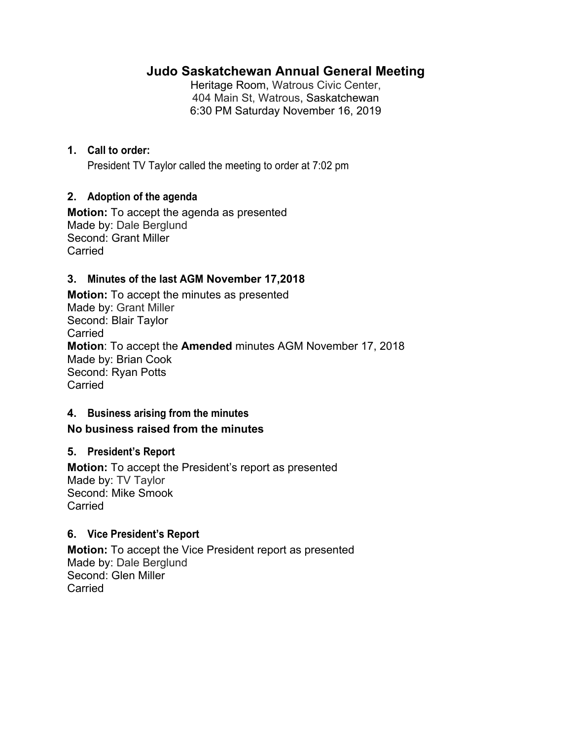# **Judo Saskatchewan Annual General Meeting**

Heritage Room, Watrous Civic Center, 404 Main St, Watrous, Saskatchewan 6:30 PM Saturday November 16, 2019

## **1. Call to order:**

President TV Taylor called the meeting to order at 7:02 pm

#### **2. Adoption of the agenda**

**Motion:** To accept the agenda as presented Made by: Dale Berglund Second: Grant Miller **Carried** 

#### **3. Minutes of the last AGM November 17,2018**

**Motion:** To accept the minutes as presented Made by: Grant Miller Second: Blair Taylor Carried **Motion**: To accept the **Amended** minutes AGM November 17, 2018 Made by: Brian Cook Second: Ryan Potts Carried

#### **4. Business arising from the minutes**

#### **No business raised from the minutes**

#### **5. President's Report**

**Motion:** To accept the President's report as presented Made by: TV Taylor Second: Mike Smook Carried

#### **6. Vice President's Report**

**Motion:** To accept the Vice President report as presented Made by: Dale Berglund Second: Glen Miller Carried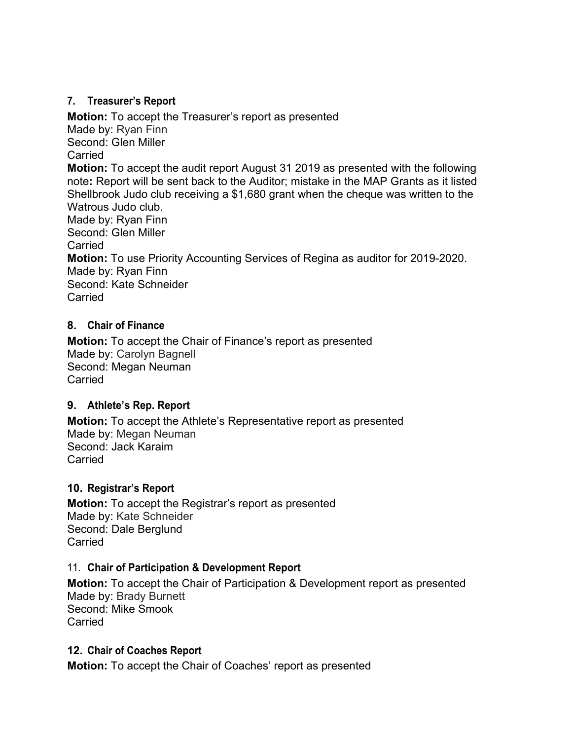## **7. Treasurer's Report**

**Motion:** To accept the Treasurer's report as presented Made by: Ryan Finn Second: Glen Miller **Carried Motion:** To accept the audit report August 31 2019 as presented with the following note**:** Report will be sent back to the Auditor; mistake in the MAP Grants as it listed Shellbrook Judo club receiving a \$1,680 grant when the cheque was written to the Watrous Judo club. Made by: Ryan Finn Second: Glen Miller Carried **Motion:** To use Priority Accounting Services of Regina as auditor for 2019-2020. Made by: Ryan Finn Second: Kate Schneider Carried

## **8. Chair of Finance**

**Motion:** To accept the Chair of Finance's report as presented Made by: Carolyn Bagnell Second: Megan Neuman **Carried** 

#### **9. Athlete's Rep. Report**

**Motion:** To accept the Athlete's Representative report as presented Made by: Megan Neuman Second: Jack Karaim Carried

# **10. Registrar's Report**

**Motion:** To accept the Registrar's report as presented Made by: Kate Schneider Second: Dale Berglund **Carried** 

#### 11. **Chair of Participation & Development Report**

**Motion:** To accept the Chair of Participation & Development report as presented Made by: Brady Burnett Second: Mike Smook Carried

# **12. Chair of Coaches Report**

**Motion:** To accept the Chair of Coaches' report as presented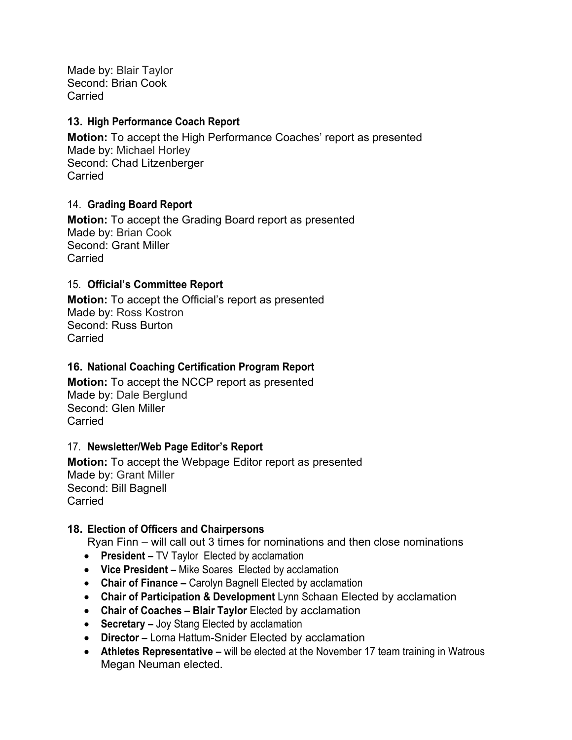Made by: Blair Taylor Second: Brian Cook Carried

#### **13. High Performance Coach Report**

**Motion:** To accept the High Performance Coaches' report as presented Made by: Michael Horley Second: Chad Litzenberger **Carried** 

#### 14. **Grading Board Report**

**Motion:** To accept the Grading Board report as presented Made by: Brian Cook Second: Grant Miller Carried

#### 15. **Official's Committee Report**

**Motion:** To accept the Official's report as presented Made by: Ross Kostron Second: Russ Burton Carried

#### **16. National Coaching Certification Program Report**

**Motion:** To accept the NCCP report as presented Made by: Dale Berglund Second: Glen Miller Carried

#### 17. **Newsletter/Web Page Editor's Report**

**Motion:** To accept the Webpage Editor report as presented Made by: Grant Miller Second: Bill Bagnell **Carried** 

#### **18. Election of Officers and Chairpersons**

Ryan Finn – will call out 3 times for nominations and then close nominations

- **President** TV Taylor Elected by acclamation
- **Vice President** Mike Soares Elected by acclamation
- **Chair of Finance** Carolyn Bagnell Elected by acclamation
- **Chair of Participation & Development** Lynn Schaan Elected by acclamation
- **Chair of Coaches Blair Taylor** Elected by acclamation
- **Secretary** Joy Stang Elected by acclamation
- **Director** Lorna Hattum-Snider Elected by acclamation
- **Athletes Representative** will be elected at the November 17 team training in Watrous Megan Neuman elected.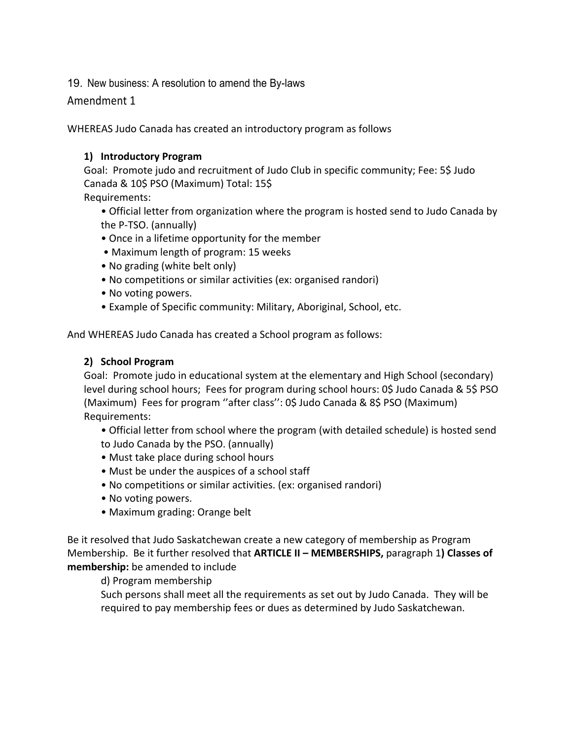19. New business: A resolution to amend the By-laws

#### Amendment 1

WHEREAS Judo Canada has created an introductory program as follows

#### **1) Introductory Program**

Goal: Promote judo and recruitment of Judo Club in specific community; Fee: 5\$ Judo Canada & 10\$ PSO (Maximum) Total: 15\$

Requirements:

- Official letter from organization where the program is hosted send to Judo Canada by the P‐TSO. (annually)
- Once in a lifetime opportunity for the member
- Maximum length of program: 15 weeks
- No grading (white belt only)
- No competitions or similar activities (ex: organised randori)
- No voting powers.
- Example of Specific community: Military, Aboriginal, School, etc.

And WHEREAS Judo Canada has created a School program as follows:

#### **2) School Program**

Goal: Promote judo in educational system at the elementary and High School (secondary) level during school hours; Fees for program during school hours: 0\$ Judo Canada & 5\$ PSO (Maximum) Fees for program ''after class'': 0\$ Judo Canada & 8\$ PSO (Maximum) Requirements:

• Official letter from school where the program (with detailed schedule) is hosted send to Judo Canada by the PSO. (annually)

- Must take place during school hours
- Must be under the auspices of a school staff
- No competitions or similar activities. (ex: organised randori)
- No voting powers.
- Maximum grading: Orange belt

Be it resolved that Judo Saskatchewan create a new category of membership as Program Membership. Be it further resolved that **ARTICLE II – MEMBERSHIPS,** paragraph 1**) Classes of membership:** be amended to include

d) Program membership

Such persons shall meet all the requirements as set out by Judo Canada. They will be required to pay membership fees or dues as determined by Judo Saskatchewan.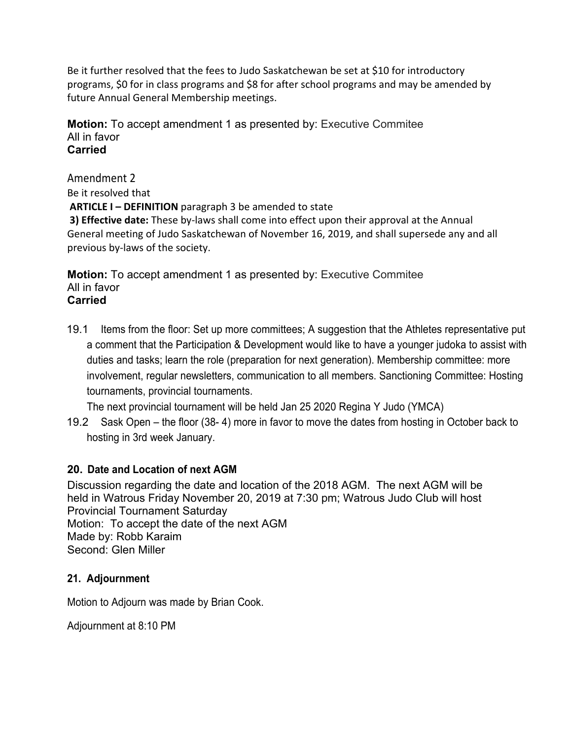Be it further resolved that the fees to Judo Saskatchewan be set at \$10 for introductory programs, \$0 for in class programs and \$8 for after school programs and may be amended by future Annual General Membership meetings.

**Motion:** To accept amendment 1 as presented by: Executive Commitee All in favor **Carried** 

Amendment 2

Be it resolved that

**ARTICLE I – DEFINITION** paragraph 3 be amended to state

**3) Effective date:** These by-laws shall come into effect upon their approval at the Annual General meeting of Judo Saskatchewan of November 16, 2019, and shall supersede any and all previous by‐laws of the society.

**Motion:** To accept amendment 1 as presented by: Executive Commitee All in favor **Carried** 

19.1 Items from the floor: Set up more committees; A suggestion that the Athletes representative put a comment that the Participation & Development would like to have a younger judoka to assist with duties and tasks; learn the role (preparation for next generation). Membership committee: more involvement, regular newsletters, communication to all members. Sanctioning Committee: Hosting tournaments, provincial tournaments.

The next provincial tournament will be held Jan 25 2020 Regina Y Judo (YMCA)

19.2 Sask Open – the floor (38- 4) more in favor to move the dates from hosting in October back to hosting in 3rd week January.

# **20. Date and Location of next AGM**

Discussion regarding the date and location of the 2018 AGM. The next AGM will be held in Watrous Friday November 20, 2019 at 7:30 pm; Watrous Judo Club will host Provincial Tournament Saturday Motion: To accept the date of the next AGM Made by: Robb Karaim Second: Glen Miller

# **21. Adjournment**

Motion to Adjourn was made by Brian Cook.

Adjournment at 8:10 PM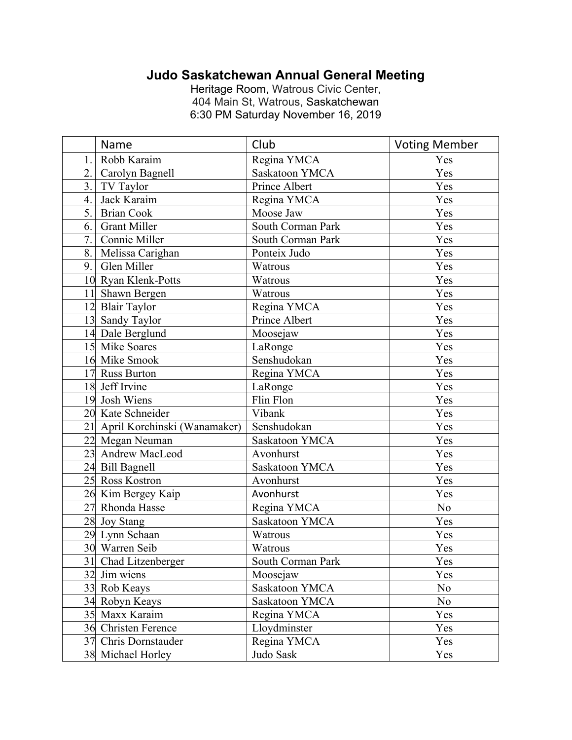# **Judo Saskatchewan Annual General Meeting**

Heritage Room, Watrous Civic Center, 404 Main St, Watrous, Saskatchewan 6:30 PM Saturday November 16, 2019

|    | Name                            | Club                  | <b>Voting Member</b> |
|----|---------------------------------|-----------------------|----------------------|
| 1. | Robb Karaim                     | Regina YMCA           | Yes                  |
|    | 2. Carolyn Bagnell              | <b>Saskatoon YMCA</b> | Yes                  |
| 3. | TV Taylor                       | Prince Albert         | Yes                  |
| 4. | Jack Karaim                     | Regina YMCA           | Yes                  |
| 5. | <b>Brian Cook</b>               | Moose Jaw             | Yes                  |
| 6. | <b>Grant Miller</b>             | South Corman Park     | Yes                  |
|    | 7. Connie Miller                | South Corman Park     | Yes                  |
| 8. | Melissa Carighan                | Ponteix Judo          | Yes                  |
|    | 9. Glen Miller                  | Watrous               | Yes                  |
|    | 10 Ryan Klenk-Potts             | Watrous               | Yes                  |
|    | 11 Shawn Bergen                 | Watrous               | Yes                  |
|    | 12 Blair Taylor                 | Regina YMCA           | Yes                  |
|    | 13 Sandy Taylor                 | Prince Albert         | Yes                  |
|    | 14 Dale Berglund                | Moosejaw              | Yes                  |
|    | 15 Mike Soares                  | LaRonge               | Yes                  |
|    | 16 Mike Smook                   | Senshudokan           | Yes                  |
|    | 17 Russ Burton                  | Regina YMCA           | Yes                  |
|    | 18 Jeff Irvine                  | LaRonge               | Yes                  |
|    | 19 Josh Wiens                   | Flin Flon             | Yes                  |
|    | 20 Kate Schneider               | Vibank                | Yes                  |
|    | 21 April Korchinski (Wanamaker) | Senshudokan           | Yes                  |
|    | 22 Megan Neuman                 | Saskatoon YMCA        | Yes                  |
|    | 23 Andrew MacLeod               | Avonhurst             | Yes                  |
|    | 24 Bill Bagnell                 | Saskatoon YMCA        | Yes                  |
|    | 25 Ross Kostron                 | Avonhurst             | Yes                  |
|    | 26 Kim Bergey Kaip              | Avonhurst             | Yes                  |
|    | 27 Rhonda Hasse                 | Regina YMCA           | No                   |
|    | 28 Joy Stang                    | Saskatoon YMCA        | Yes                  |
|    | 29 Lynn Schaan                  | Watrous               | Yes                  |
|    | 30 Warren Seib                  | Watrous               | Yes                  |
|    | 31 Chad Litzenberger            | South Corman Park     | Yes                  |
|    | 32 Jim wiens                    | Moosejaw              | Yes                  |
|    | 33 Rob Keays                    | Saskatoon YMCA        | N <sub>o</sub>       |
|    | 34 Robyn Keays                  | Saskatoon YMCA        | N <sub>o</sub>       |
|    | 35 Maxx Karaim                  | Regina YMCA           | Yes                  |
|    | 36 Christen Ference             | Lloydminster          | Yes                  |
|    | 37 Chris Dornstauder            | Regina YMCA           | Yes                  |
|    | 38 Michael Horley               | Judo Sask             | Yes                  |